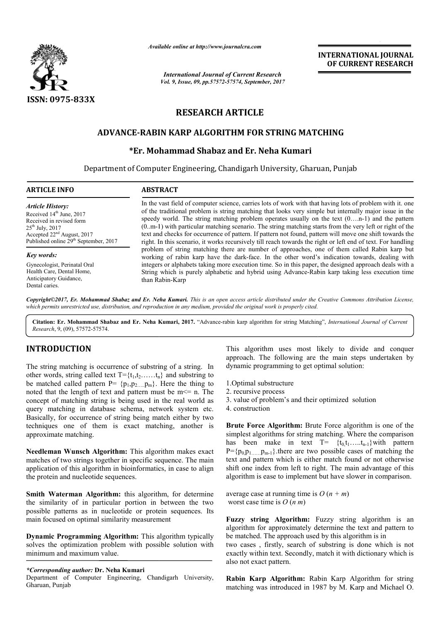

*Available online at http://www.journal http://www.journalcra.com*

*International Journal of Current Research Vol. 9, Issue, 09, pp.57572-57574, September, 2017* **INTERNATIONAL JOURNAL OF CURRENT RESEARCH** 

# **RESEARCH ARTICLE**

## **ADVANCE-RABIN KARP ALGORITHM FOR STRING MATCHING RABIN FOR STRING**

# **E-RABIN KARP ALGORITHM FOR STRING MA**<br>\*Er. Mohammad Shabaz and Er. Neha Kumari

Department of Computer Engineering, Chandigarh University, Gharuan, Punjab

| <b>ARTICLE INFO</b>                               | <b>ABSTRACT</b>                                                                                              |
|---------------------------------------------------|--------------------------------------------------------------------------------------------------------------|
| <b>Article History:</b>                           | In the vast field of computer science, carries lots of work with that having lots of problem with it, one    |
| Received 14 <sup>th</sup> June, 2017              | of the traditional problem is string matching that looks very simple but internally major issue in the       |
| Received in revised form                          | speedy world. The string matching problem operates usually on the text (0n-1) and the pattern                |
| $25^{th}$ July, 2017                              | $(0m-1)$ with particular matching scenario. The string matching starts from the very left or right of the    |
| Accepted $22nd$ August, 2017                      | text and checks for occurrence of pattern. If pattern not found, pattern will move one shift towards the     |
| Published online 29 <sup>th</sup> September, 2017 | right. In this scenario, it works recursively till reach towards the right or left end of text. For handling |
| <b>Key words:</b>                                 | problem of string matching there are number of approaches, one of them called Rabin karp but                 |
| Gynecologist, Perinatal Oral                      | working of rabin karp have the dark-face. In the other word's indication towards, dealing with               |
| Health Care, Dental Home,                         | integers or alphabets taking more execution time. So in this paper, the designed approach deals with a       |
| Anticipatory Guidance,                            | String which is purely alphabetic and hybrid using Advance-Rabin karp taking less execution time             |
| Dental caries.                                    | than Rabin-Karp                                                                                              |

*Copyright©2017, Er. Mohammad Shabaz and Er. Neha Kumari Kumari. This is an open access article distributed under the Creative Commons Att distributed the Attribution License,*  which permits unrestricted use, distribution, and reproduction in any medium, provided the original work is properly cited.

Citation: Er. Mohammad Shabaz and Er. Neha Kumari, 2017. "Advance-rabin karp algorithm for string Matching", *International Journal of Current Research*, 9, (09), 57572-57574.

## **INTRODUCTION**

The string matching is occurrence of substring of a string. In other words, string called text  $T = \{t_1, t_2, \ldots, t_n\}$  and substring to be matched called pattern  $P = \{p_1, p_2, \ldots, p_m\}$ . Here the thing to noted that the length of text and pattern must be  $m \le n$ . The concept of matching string is being used in the real world as query matching in database schema, network system etc. Basically, for occurrence of string being match either by two techniques one of them is exact matching, another is approximate matching.

**Needleman Wunsch Algorithm:** This algorithm makes exact matches of two strings together in specific sequence. The main application of this algorithm in bioinformatics, in case to align the protein and nucleotide sequences.

**Smith Waterman Algorithm:** this algorithm, for determine the similarity of in particular portion in between the two possible patterns as in nucleotide or protein sequences. Its main focused on optimal similarity measurement

**Dynamic Programming Algorithm:** This algorithm typically solves the optimization problem with possible solution with minimum and maximum value.

*\*Corresponding author:* **Dr. Neha Kumari**

Department of Computer Engineering, Chandigarh University, Gharuan, Punjab

approach. The following are the main steps undertaken by approach. The following are the main steps<br>dynamic programming to get optimal solution:

1.Optimal substructure

- 2. recursive process
- 3. value of problem's and their optimized solution
- 4. construction

This algorithm uses most likely to divide and conquer<br>
approach. The following are the main steps undertaken by<br>  ${t_1, t_2, \ldots, t_n}$  and substring to<br>  ${t_1, t_2, \ldots, t_n}$ . Here the thing to<br>
pattern must be m $\leq$  n. The<br> **Brute Force Algorithm:** Brute Force algorithm is one of the simplest algorithms for string matching. Where the comparison has been make in text  $T = \{t_0, t_1, \ldots, t_{n-1}\}$  with pattern  $P = {p_0 p_1, \ldots, p_{m-1}}$ , there are two possible cases of matching the text and pattern which is either match found or not otherwise shift one index from left to right. The main advantage of this algorithm is ease to implement but have slower in comparison. is one of the<br>ng. Where the comparison<br> $\{t_0, t_1, \ldots, t_{n-1}\}$  with pattern  $P = \{p_0, p_1, \ldots, p_{m-1}\}\$ . there are two possible cases of matching text and pattern which is either match found or not otherw shift one index from left to right. The main advantage of algorithm is ease to implement but h

average case at running time is  $O(n + m)$ worst case time is  $O(n m)$ 

**Fuzzy string Algorithm:** Fuzzy string algorithm is an algorithm for approximately determine the text and pattern to be matched. The approach used by this algorithm is in

two cases , firstly, search of substring is done which is not exactly within text. Secondly, match it with dictionary which is also not exact pattern. string Algorithm: Fuzzy string algorithm is an m for approximately determine the text and pattern to hed. The approach used by this algorithm is in ess, firstly, search of substring is done which is not within text. Second

**Rabin Karp Algorithm:** Rabin Karp Algorithm for string matching was introduced in 1987 by M. Karp and Michael O.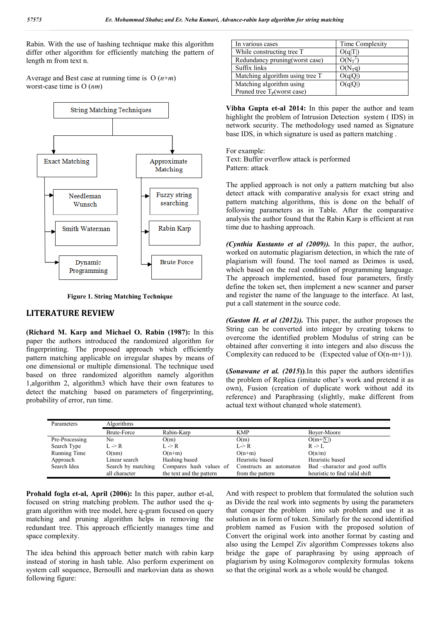Rabin. With the use of hashing technique make this algorithm differ other algorithm for efficiently matching the pattern of length m from text n.

Average and Best case at running time is O (*n*+*m*) worst-case time is O (*nm*)



**Figure 1. String Matching Technique**

### **LITERATURE REVIEW**

**(Richard M. Karp and Michael O. Rabin (1987):** In this paper the authors introduced the randomized algorithm for fingerprinting. The proposed approach which efficiently pattern matching applicable on irregular shapes by means of one dimensional or multiple dimensional. The technique used based on three randomized algorithm namely algorithm 1,algorithm 2, algorithm3 which have their own features to detect the matching based on parameters of fingerprinting, probability of error, run time.

| In various cases                 | Time Complexity |
|----------------------------------|-----------------|
| While constructing tree T        |                 |
| Redundancy pruning(worst case)   |                 |
| Suffix links                     | $O(N_Tq)$       |
| Matching algorithm using tree T  |                 |
| Matching algorithm using         | O(q Q )         |
| Pruned tree $T_{P}$ (worst case) |                 |

**Vibha Gupta et-al 2014:** In this paper the author and team highlight the problem of Intrusion Detection system ( IDS) in network security. The methodology used named as Signature base IDS, in which signature is used as pattern matching .

For example: Text: Buffer overflow attack is performed Pattern: attack

The applied approach is not only a pattern matching but also detect attack with comparative analysis for exact string and pattern matching algorithms, this is done on the behalf of following parameters as in Table. After the comparative analysis the author found that the Rabin Karp is efficient at run time due to hashing approach.

*(Cynthia Kustanto et al (2009)).* In this paper, the author, worked on automatic plagiarism detection, in which the rate of plagiarism will found. The tool named as Deimos is used, which based on the real condition of programming language. The approach implemented, based four parameters, firstly define the token set, then implement a new scanner and parser and register the name of the language to the interface. At last, put a call statement in the source code.

*(Gaston H. et al (2012)).* This paper, the author proposes the String can be converted into integer by creating tokens to overcome the identified problem Modulus of string can be obtained after converting it into integers and also discuss the Complexity can reduced to be (Expected value of  $O(n-m+1)$ ).

**(***Sonawane et al. (2015***))**.In this paper the authors identifies the problem of Replica (imitate other's work and pretend it as own), Fusion (creation of duplicate work without add its reference) and Paraphrasing (slightly, make different from actual text without changed whole statement).

| Parameters     | Algorithms         |                          |                         |                                |  |  |
|----------------|--------------------|--------------------------|-------------------------|--------------------------------|--|--|
|                | <b>Brute-Force</b> | Rabin-Karp               | <b>KMP</b>              | Bover-Moore                    |  |  |
| Pre-Processing | No                 | O(m)                     | O(m)                    | $O(m+ \Sigma )$                |  |  |
| Search Type    | L -> R             | $L \rightarrow R$        | L > R                   | $R \rightarrow L$              |  |  |
| Running Time   | O(nm)              | $O(n+m)$                 | $O(n+m)$                | O(n/m)                         |  |  |
| Approach       | Linear search      | Hashing based            | Heuristic based         | Heuristic based                |  |  |
| Search Idea    | Search by matching | Compares hash values of  | Constructs an automaton | Bad -character and good suffix |  |  |
|                | all character      | the text and the pattern | from the pattern        | heuristic to find valid shift  |  |  |

**Prohald fogla et-al, April (2006):** In this paper, author et-al, focused on string matching problem. The author used the qgram algorithm with tree model, here q-gram focused on query matching and pruning algorithm helps in removing the redundant tree. This approach efficiently manages time and space complexity.

The idea behind this approach better match with rabin karp instead of storing in hash table. Also perform experiment on system call sequence, Bernoulli and markovian data as shown following figure:

And with respect to problem that formulated the solution such as Divide the real work into segments by using the parameters that conquer the problem into sub problem and use it as solution as in form of token. Similarly for the second identified problem named as Fusion with the proposed solution of Convert the original work into another format by casting and also using the Lempel Ziv algorithm Compresses tokens also bridge the gape of paraphrasing by using approach of plagiarism by using Kolmogorov complexity formulas tokens so that the original work as a whole would be changed.